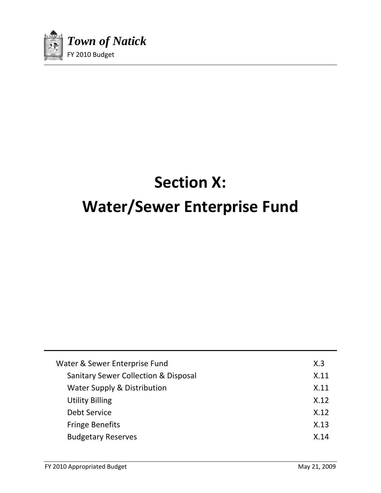

# **Section X: Water/Sewer Enterprise Fund**

| Water & Sewer Enterprise Fund        | X.3  |
|--------------------------------------|------|
| Sanitary Sewer Collection & Disposal | X.11 |
| Water Supply & Distribution          | X.11 |
| <b>Utility Billing</b>               | X.12 |
| Debt Service                         | X.12 |
| <b>Fringe Benefits</b>               | X.13 |
| <b>Budgetary Reserves</b>            | X.14 |
|                                      |      |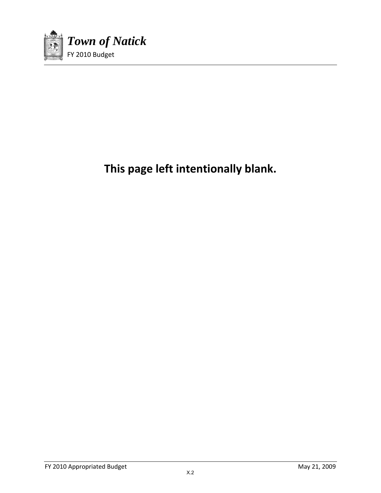

**This page left intentionally blank.**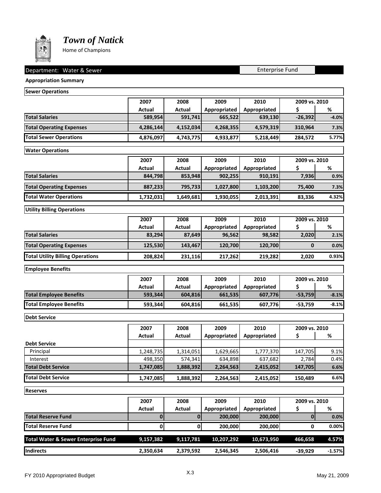

Home of Champions

#### Department: Water & Sewer

Enterprise Fund

## **Appropriation Summary Sewer Operations Operations2007 2008 2009 2010 Actual Actual Appropriated Appropriated \$ % Total Salaries 589,954 591,741 665,522 639,130 ‐26,392 ‐4.0% Total Operating Expenses 4,286,144 4,152,034 4,268,355 4,579,319 310,964 7.3% Total Sewer Operations 4,876,097 4,743,775 4,933,877 5,218,449 284,572 5.77% Water Operations 2009 vs. 2010 2007 2008 2009 2010 Actual Actual Appropriated Appropriated \$ % Total Salaries 844,798 853,948 902,255 910,191 7,936 0.9% Total Operating Expenses 887,233 795,733 1,027,800 1,103,200 75,400 7.3% Total Water Operations 1,732,031 1,649,681 1,930,055 2,013,391 83,336 4.32% 2009 vs. 2010 Utility Billing Operations 2007 2008 2009 2010 Actual Actual Appropriated Appropriated \$ % Total Salaries 83,294 87,649 96,562 98,582 2,020 2.1% Total Operating Expenses 125,530 143,467 120,700 120,700 0 0.0% Total Utility Billing Operations 208,824 231,116 217,262 219,282 2,020 0.93% 2009 vs. 2010 Employee Benefits 2007 2008 2009 2010 Actual Actual Appropriated Appropriated \$ % Total Employee Benefits 593,344 604,816 661,535 607,776 ‐53,759 ‐8.1% Total Employee Benefits 593,344 604,816 661,535 607,776 ‐53,759 ‐8.1% Debt Service 2009 vs. 2010 2007 2008 2009 2010** Actual **Actual Appropriated Appropriated**  $\begin{matrix} 5 & 1 \\ 2 & 3 \end{matrix}$ **Debt Service** Principal 1,248,735 1,314,051 1,629,665 1,777,370 147,705 9.1% Interest 498,350 574,341 634,898 637,682 2,784 0.4% **Total Debt Service 1,747,085 1,888,392 2,264,563 2,415,052 147,705 6.6% Total Debt Service 1,747,085 1,888,392 2,264,563 2,415,052 150,489 6.6% 2009 vs. 2010 Reserves 2007 2008 2009 2010 Actual Actual Appropriated Appropriated \$ % Total Reserve Fund 0 0 200,000 200,000 0 0.0% Total Reserve Fund 0 0 200,000 200,000 0 0.00% l & i d Total Water Sewer Enterprise Fund 9,157,382 9,117,781 10,207,292 10,673,950 466,658 4.57% 2009 vs. 2010**

**Indirects 2,350,634 2,379,592 2,546,345 2,506,416 ‐39,929 ‐1.57%**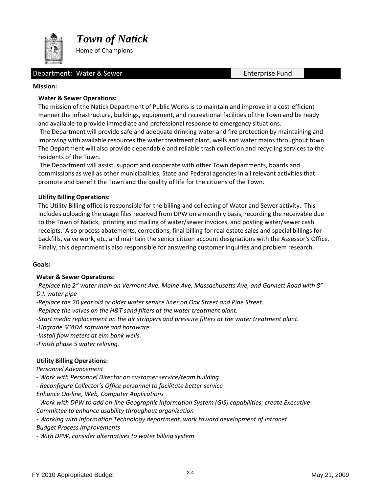

Home of Champions

Department: Water & Sewer

Enterprise Fund

## **Mission:**

## **Water & Sewer Operations:**

The mission of the Natick Department of Public Works is to maintain and improve in a cost-efficient manner the infrastructure, buildings, equipment, and recreational facilities of the Town and be ready and available to provide immediate and professional response to emergency situations.

The Department will provide safe and adequate drinking water and fire protection by maintaining and improving with available resources the water treatment plant, wells and water mains throughout town. The Department will also provide dependable and reliable trash collection and recycling services to the residents of the Town.

The Department will assist, support and cooperate with other Town departments, boards and commissions as well as other municipalities, State and Federal agencies in all relevant activities that promote and benefit the Town and the quality of life for the citizens of the Town.

## **Utility Billing Operations:**

The Utility Billing office is responsible for the billing and collecting of Water and Sewer activity. This includes uploading the usage files received from DPW on a monthly basis, recording the receivable due to the Town of Natick, printing and mailing of water/sewer invoices, and posting water/sewer cash receipts. Also process abatements, corrections, final billing for real estate sales and special billings for backfills, valve work, etc, and maintain the senior citizen account designations with the Assessor's Office. Finally, this department is also responsible for answering customer inquiries and problem research.

## **l Goals:**

## **Water & Sewer Operations:**

*‐Replace the 2" water main on Vermont Ave, Maine Ave, Massachusetts Ave, and Gannett Road with 8" D.I. water pipe*

*‐Replace the 20 year old or older water service lines on Oak Street and Pine Street.*

*‐Replace the valves on the H&T sand filters at the water treatment plant.*

*‐Start media replacement on the air strippers and pressure filters at the water treatment plant.*

*‐Upgrade SCADA software and hardware.*

*‐Install flow meters at elm bank wells.*

*‐Finish phase 5 water relining.*

## **Utility Billing Operations:**

## *Personnel Advancement*

*‐ Work with Personnel Director on customer service/team building*

*‐ Reconfigure Collector's Office personnel to facilitate better service*

*Enhance On‐line, Web, Computer Applications*

*‐ Work with DPW to add on‐line Geographic Information System (GIS) capabilities; create Executive Committee to enhance usability throughout organization*

*‐ Working with Information Technology department, work toward development of intranet Budget Process Improvements*

*‐ With DPW, consider alternatives to water billing system*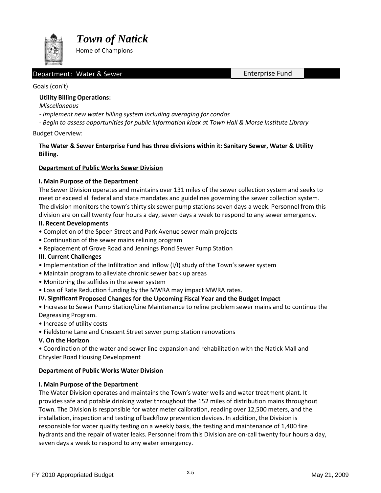

Home of Champions

## Department: Water & Sewer

Enterprise Fund

Goals (con't)

## **Utility Billing Operations:**

*Miscellaneous*

- *‐ Implement new water billing system including averaging for condos*
- *‐ Begin to assess opportunities for public information kiosk at Town Hall & Morse Institute Library*

Budget Overview:

## **The Water & Sewer Enterprise Fund has three divisions within it: Sanitary Sewer, Water & Utility Billing.**

## **Department of Public Works Sewer Division**

## **I. Main Purpose of the Department**

The Sewer Division operates and maintains over 131 miles of the sewer collection system and seeks to meet or exceed all federal and state mandates and guidelines governing the sewer collection system. The division monitors the town's thirty six sewer pump stations seven days a week. Personnel from this division are on call twenty four hours a day, seven days a week to respond to any sewer emergency.

## **II. Recent Developments**

- Completion of the Speen Street and Park Avenue sewer main projects
- Continuation of the sewer mains relining program
- Replacement of Grove Road and Jennings Pond Sewer Pump Station

## **III. Current Challenges**

- Implementation of the Infiltration and Inflow (I/I) study of the Town's sewer system
- Maintain program to alleviate chronic sewer back up areas
- Monitoring the sulfides in the sewer system
- Loss of Rate Reduction funding by the MWRA may impact MWRA rates.

## **IV. Significant Proposed Changes for the Upcoming Fiscal Year and the Budget Impact**

• Increase to Sewer Pump Station/Line Maintenance to reline problem sewer mains and to continue the Degreasing Program.

- Increase of utility costs
- Fieldstone Lane and Crescent Street sewer pump station renovations
- **V. On the Horizon**

• Coordination of the water and sewer line expansion and rehabilitation with the Natick Mall and Chrysler Road Housing Development

## **Department of Public Works Water Division**

## **I. Main Purpose of the Department**

The Water Division operates and maintains the Town's water wells and water treatment plant. It provides safe and potable drinking water throughout the 152 miles of distribution mains throughout Town. The Division is responsible for water meter calibration, reading over 12,500 meters, and the installation, inspection and testing of backflow prevention devices. In addition, the Division is responsible for water quality testing on a weekly basis, the testing and maintenance of 1,400 fire hydrants and the repair of water leaks. Personnel from this Division are on-call twenty four hours a day, seven days a week to respond to any water emergency.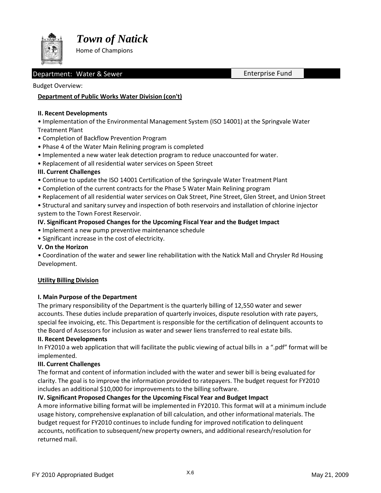

Home of Champions

## Department: Water & Sewer

Enterprise Fund

Budget Overview:

## **Department of Public Works Water Division (con't)**

## **II. Recent Developments**

• Implementation of the Environmental Management System (ISO 14001) at the Springvale Water Treatment Plant

- Completion of Backflow Prevention Program
- Phase 4 of the Water Main Relining program is completed
- Implemented a new water leak detection program to reduce unaccounted for water.
- Replacement of all residential water services on Speen Street

## **III. Current Challenges**

- Continue to update the ISO 14001 Certification of the Springvale Water Treatment Plant
- Completion of the current contracts for the Phase 5 Water Main Relining program
- Replacement of all residential water services on Oak Street, Pine Street, Glen Street, and Union Street
- Structural and sanitary survey and inspection of both reservoirs and installation of chlorine injector system to the Town Forest Reservoir.

## **IV. Significant Proposed Changes for the Upcoming Fiscal Year and the Budget Impact**

- Implement a new pump preventive maintenance schedule
- Significant increase in the cost of electricity.

## **V. On the Horizon**

• Coordination of the water and sewer line rehabilitation with the Natick Mall and Chrysler Rd Housing Development.

## **Utility Billing Division**

## **I. Main Purpose of the Department**

The primary responsibility of the Department is the quarterly billing of 12,550 water and sewer accounts. These duties include preparation of quarterly invoices, dispute resolution with rate payers, special fee invoicing, etc. This Department is responsible for the certification of delinquent accounts to the Board of Assessors for inclusion as water and sewer liens transferred to real estate bills.

## **II. Recent Developments**

In FY2010 a web application that will facilitate the public viewing of actual bills in a ".pdf" format will be implemented.

## **III. Current Challenges**

The format and content of information included with the water and sewer bill is being evaluated for clarity. The goal is to improve the information provided to ratepayers. The budget request for FY2010 includes an additional \$10,000 for improvementsto the billing software.

## **IV. Significant Proposed Changes for the Upcoming Fiscal Year and Budget Impact**

A more informative billing format will be implemented in FY2010. This format will at a minimum include usage history, comprehensive explanation of bill calculation, and other informational materials. The budget request for FY2010 continues to include funding for improved notification to delinquent accounts, notification to subsequent/new property owners, and additional research/resolution for returned mail.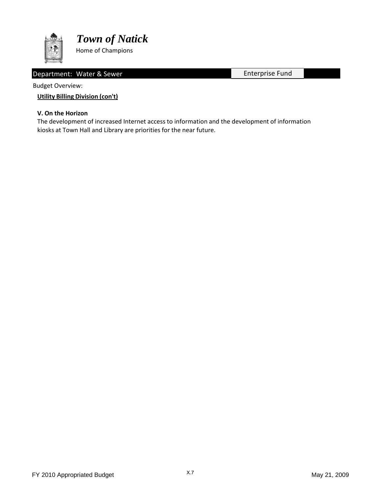



Department: Water & Sewer

Enterprise Fund

Budget Overview:

**Utility Billing Division (con't)**

## **V. On the Horizon**

The development of increased Internet access to information and the development of information kiosks at Town Hall and Library are priorities for the near future.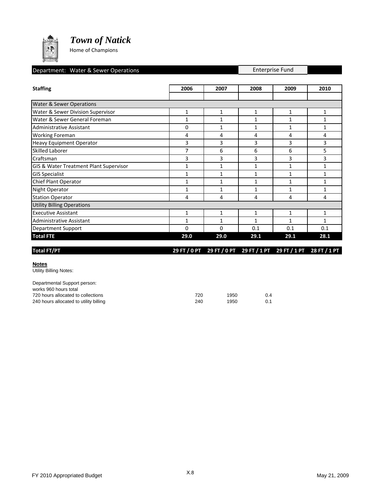

Home of Champions

## Department: Water & Sewer Operations

Enterprise Fund

| <b>Staffing</b>                                   | 2006         | 2007         | 2008         | 2009                                                | 2010         |  |
|---------------------------------------------------|--------------|--------------|--------------|-----------------------------------------------------|--------------|--|
|                                                   |              |              |              |                                                     |              |  |
| <b>Water &amp; Sewer Operations</b>               |              |              |              |                                                     |              |  |
| Water & Sewer Division Supervisor                 | 1            | 1            | 1            | 1                                                   | 1            |  |
| Water & Sewer General Foreman                     | $\mathbf{1}$ | $\mathbf{1}$ | 1            | 1                                                   | $\mathbf{1}$ |  |
| Administrative Assistant                          | 0            | 1            | 1            | 1                                                   | $\mathbf{1}$ |  |
| <b>Working Foreman</b>                            | 4            | 4            | 4            | 4                                                   | 4            |  |
| <b>Heavy Equipment Operator</b>                   | 3            | 3            | 3            | 3                                                   | 3            |  |
| <b>Skilled Laborer</b>                            | 7            | 6            | 6            | 6                                                   | 5            |  |
| Craftsman                                         | 3            | 3            | 3            | 3                                                   | 3            |  |
| <b>GIS &amp; Water Treatment Plant Supervisor</b> | $\mathbf{1}$ | $\mathbf{1}$ | $\mathbf{1}$ | $\mathbf{1}$                                        | $\mathbf{1}$ |  |
| <b>GIS Specialist</b>                             | $\mathbf{1}$ | 1            | 1            | 1                                                   | $\mathbf{1}$ |  |
| Chief Plant Operator                              | 1            | $\mathbf{1}$ | $\mathbf 1$  | $\mathbf{1}$                                        | $\mathbf{1}$ |  |
| Night Operator                                    | $\mathbf{1}$ | $\mathbf{1}$ | 1            | 1                                                   | 1            |  |
| <b>Station Operator</b>                           | 4            | 4            | 4            | 4                                                   | 4            |  |
| <b>Utility Billing Operations</b>                 |              |              |              |                                                     |              |  |
| <b>Executive Assistant</b>                        | 1            | $\mathbf{1}$ | 1            | $\mathbf{1}$                                        | $\mathbf{1}$ |  |
| Administrative Assistant                          | 1            | $\mathbf{1}$ | $\mathbf{1}$ | $\mathbf{1}$                                        | 1            |  |
| <b>Department Support</b>                         | $\Omega$     | 0            | 0.1          | 0.1                                                 | 0.1          |  |
| <b>Total FTE</b>                                  | 29.0         | 29.0         | 29.1         | 29.1                                                | 28.1         |  |
| <b>Total FT/PT</b>                                |              |              |              | 29 FT / 0 PT 29 FT / 0 PT 29 FT / 1 PT 29 FT / 1 PT | 28 FT / 1 PT |  |
| <b>Notes</b><br><b>Utility Billing Notes:</b>     |              |              |              |                                                     |              |  |
| Departmental Support person:                      |              |              |              |                                                     |              |  |

| works 960 hours total                  |     |      |  |
|----------------------------------------|-----|------|--|
| 720 hours allocated to collections     | 720 | 1950 |  |
| 240 hours allocated to utility billing | 240 | 1950 |  |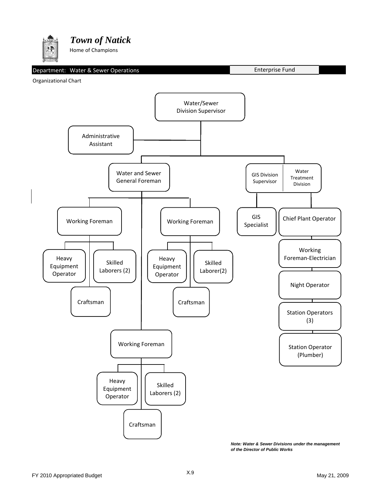

Home of Champions

Enterprise Fund

Organizational Chart



*Note: Water & Sewer Divisions under the management of the Director of Public Works*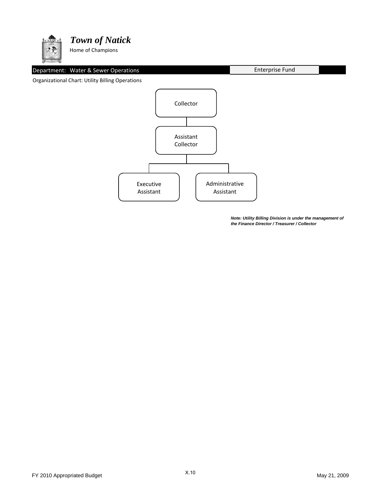

## Department: Water & Sewer Operations Organizational Chart: Utility Billing Operations Enterprise Fund Assistant Collector Collector Executive Assistant Administrative Assistant

*Note: Utility Billing Division is under the management of the Finance Director / Treasurer / Collector*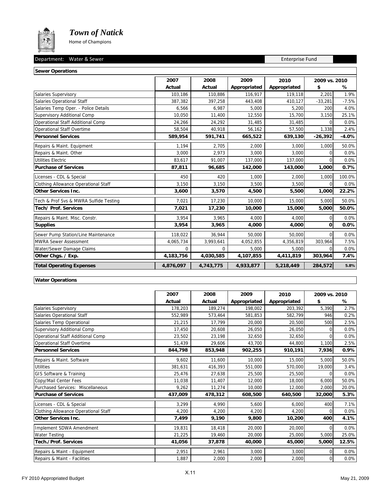

Home of Champions

## Department: Water & Sewer

#### Enterprise Fund

|                                                                                                                                                                                                                                                                                                                                                                                                                                                                                                                                                                                                                                                                                                               | 2007                                                                                                                                          | 2008          | 2009         | 2010         | 2009 vs. 2010 |         |
|---------------------------------------------------------------------------------------------------------------------------------------------------------------------------------------------------------------------------------------------------------------------------------------------------------------------------------------------------------------------------------------------------------------------------------------------------------------------------------------------------------------------------------------------------------------------------------------------------------------------------------------------------------------------------------------------------------------|-----------------------------------------------------------------------------------------------------------------------------------------------|---------------|--------------|--------------|---------------|---------|
|                                                                                                                                                                                                                                                                                                                                                                                                                                                                                                                                                                                                                                                                                                               | Actual<br>103,186<br>387,382<br>6,566<br>10.050<br>24,266<br>58,504<br>589,954<br>1.194<br>3,000<br>83,617<br>87,811<br>450<br>3.150<br>3,600 | <b>Actual</b> | Appropriated | Appropriated | \$            | ℅       |
|                                                                                                                                                                                                                                                                                                                                                                                                                                                                                                                                                                                                                                                                                                               |                                                                                                                                               | 110,886       | 116,917      | 119,118      | 2,201         | 1.9%    |
|                                                                                                                                                                                                                                                                                                                                                                                                                                                                                                                                                                                                                                                                                                               |                                                                                                                                               | 397,258       | 443,408      | 410,127      | $-33,281$     | $-7.5%$ |
|                                                                                                                                                                                                                                                                                                                                                                                                                                                                                                                                                                                                                                                                                                               |                                                                                                                                               | 6,987         | 5.000        | 5,200        | 200           | 4.0%    |
|                                                                                                                                                                                                                                                                                                                                                                                                                                                                                                                                                                                                                                                                                                               |                                                                                                                                               | 11,400        | 12,550       | 15,700       | 3,150         | 25.1%   |
|                                                                                                                                                                                                                                                                                                                                                                                                                                                                                                                                                                                                                                                                                                               |                                                                                                                                               | 24,292        | 31,485       | 31,485       | $\Omega$      | 0.0%    |
|                                                                                                                                                                                                                                                                                                                                                                                                                                                                                                                                                                                                                                                                                                               |                                                                                                                                               | 40,918        | 56,162       | 57,500       | 1,338         | 2.4%    |
|                                                                                                                                                                                                                                                                                                                                                                                                                                                                                                                                                                                                                                                                                                               |                                                                                                                                               | 591,741       | 665,522      | 639,130      | $-26,392$     | $-4.0%$ |
|                                                                                                                                                                                                                                                                                                                                                                                                                                                                                                                                                                                                                                                                                                               |                                                                                                                                               | 2.705         | 2.000        | 3,000        | 1,000         | 50.0%   |
|                                                                                                                                                                                                                                                                                                                                                                                                                                                                                                                                                                                                                                                                                                               |                                                                                                                                               | 2,973         | 3.000        | 3,000        | $\Omega$      | 0.0%    |
|                                                                                                                                                                                                                                                                                                                                                                                                                                                                                                                                                                                                                                                                                                               |                                                                                                                                               | 91,007        | 137,000      | 137,000      |               | 0.0%    |
|                                                                                                                                                                                                                                                                                                                                                                                                                                                                                                                                                                                                                                                                                                               |                                                                                                                                               | 96,685        | 142,000      | 143,000      | 1,000         | 0.7%    |
|                                                                                                                                                                                                                                                                                                                                                                                                                                                                                                                                                                                                                                                                                                               |                                                                                                                                               | 420           | 1.000        | 2,000        | 1,000         | 100.0%  |
|                                                                                                                                                                                                                                                                                                                                                                                                                                                                                                                                                                                                                                                                                                               |                                                                                                                                               | 3,150         | 3.500        | 3,500        | $\Omega$      | 0.0%    |
| <b>Sewer Operations</b><br>Salaries Supervisory<br>Salaries Operational Staff<br>Salaries Temp Oper. - Police Details<br>Supervisory Additional Comp<br>Operational Staff Additional Comp<br>Operational Staff Overtime<br><b>Personnel Services</b><br>Repairs & Maint. Equipment<br>Repairs & Maint. Other<br>Utilities Electric<br><b>Purchase of Services</b><br>Licenses - CDL & Special<br>Clothing Allowance Operational Staff<br>Other Services Inc.<br>Tech & Prof Svs & MWRA Sulfide Testing<br>Tech/ Prof. Services<br>Repairs & Maint. Misc. Constr.<br><b>Supplies</b><br>Sewer Pump Station/Line Maintenance<br><b>MWRA Sewer Assessment</b><br>Water/Sewer Damage Claims<br>Other Chgs. / Exp. |                                                                                                                                               | 3,570         | 4,500        | 5,500        | 1,000         | 22.2%   |
|                                                                                                                                                                                                                                                                                                                                                                                                                                                                                                                                                                                                                                                                                                               | 7.021                                                                                                                                         | 17,230        | 10,000       | 15,000       | 5,000         | 50.0%   |
|                                                                                                                                                                                                                                                                                                                                                                                                                                                                                                                                                                                                                                                                                                               | 7,021                                                                                                                                         | 17,230        | 10,000       | 15,000       | 5,000         | 50.0%   |
|                                                                                                                                                                                                                                                                                                                                                                                                                                                                                                                                                                                                                                                                                                               | 3.954                                                                                                                                         | 3,965         | 4.000        | 4,000        | $\Omega$      | 0.0%    |
|                                                                                                                                                                                                                                                                                                                                                                                                                                                                                                                                                                                                                                                                                                               | 3,954                                                                                                                                         | 3,965         | 4,000        | 4,000        | 0             | 0.0%    |
|                                                                                                                                                                                                                                                                                                                                                                                                                                                                                                                                                                                                                                                                                                               | 118,022                                                                                                                                       | 36,944        | 50,000       | 50,000       | $\Omega$      | 0.0%    |
|                                                                                                                                                                                                                                                                                                                                                                                                                                                                                                                                                                                                                                                                                                               | 4,065,734                                                                                                                                     | 3,993,641     | 4,052,855    | 4,356,819    | 303,964       | 7.5%    |
|                                                                                                                                                                                                                                                                                                                                                                                                                                                                                                                                                                                                                                                                                                               | $\Omega$                                                                                                                                      | 0             | 5,000        | 5,000        |               | 0.0%    |
|                                                                                                                                                                                                                                                                                                                                                                                                                                                                                                                                                                                                                                                                                                               | 4,183,756                                                                                                                                     | 4,030,585     | 4,107,855    | 4,411,819    | 303,964       | 7.4%    |

#### **Water Operations**

|                                      | 2007    | 2008    | 2009         | 2010         | 2009 vs. 2010 |       |
|--------------------------------------|---------|---------|--------------|--------------|---------------|-------|
|                                      | Actual  | Actual  | Appropriated | Appropriated | \$            | ℅     |
| Salaries Supervisory                 | 178,203 | 189,274 | 198.002      | 203,392      | 5,390         | 2.7%  |
| Salaries Operational Staff           | 552,989 | 573,464 | 581.853      | 582.799      | 946           | 0.2%  |
| Salaries Temp Operational            | 21,215  | 17,799  | 20,000       | 20,500       | 500           | 2.5%  |
| Supervisory Additional Comp          | 17,450  | 20,608  | 26,050       | 26,050       | 0             | 0.0%  |
| Operational Staff Additional Comp    | 23,502  | 23,198  | 32,650       | 32,650       | $\Omega$      | 0.0%  |
| Operational Staff Overtime           | 51,439  | 29,606  | 43,700       | 44,800       | 1,100         | 2.5%  |
| <b>Personnel Services</b>            | 844,798 | 853,948 | 902,255      | 910,191      | 7,936         | 0.9%  |
| Repairs & Maint. Software            | 9.602   | 11,600  | 10,000       | 15,000       | 5,000         | 50.0% |
| <b>Utilities</b>                     | 381,631 | 416,393 | 551,000      | 570,000      | 19,000        | 3.4%  |
| GIS Software & Training              | 25,476  | 27,638  | 25,500       | 25,500       | $\Omega$      | 0.0%  |
| Copy/Mail Center Fees                | 11,038  | 11,407  | 12,000       | 18,000       | 6,000         | 50.0% |
| Purchased Services: Miscellaneous    | 9,262   | 11,274  | 10,000       | 12,000       | 2,000         | 20.0% |
| <b>Purchase of Services</b>          | 437,009 | 478.312 | 608,500      | 640.500      | 32,000        | 5.3%  |
| Licenses - CDL & Special             | 3.299   | 4.990   | 5,600        | 6.000        | 400           | 7.1%  |
| Clothing Allowance Operational Staff | 4.200   | 4.200   | 4,200        | 4.200        | $\Omega$      | 0.0%  |
| <b>Other Services Inc.</b>           | 7,499   | 9,190   | 9.800        | 10,200       | 400           | 4.1%  |
| Implement SDWA Amendment             | 19,831  | 18,418  | 20,000       | 20,000       | $\Omega$      | 0.0%  |
| <b>Water Testing</b>                 | 21,225  | 19,460  | 20,000       | 25,000       | 5,000         | 25.0% |
| <b>Tech./Prof. Services</b>          | 41,056  | 37,878  | 40,000       | 45,000       | 5,000         | 12.5% |
| Repairs & Maint - Equipment          | 2,951   | 2,961   | 3,000        | 3,000        | $\Omega$      | 0.0%  |
| Repairs & Maint - Facilities         | 1.887   | 2,000   | 2,000        | 2,000        | 0             | 0.0%  |

**Total Operating Expenses 4,876,097 4,743,775 4,933,877 5,218,449 284,572 5.8%**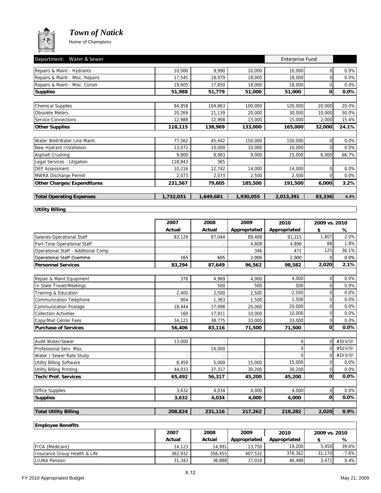

Home of Champions

| Water & Sewer<br>Department:      |           |                            | <b>Enterprise Fund</b> |           |          |       |
|-----------------------------------|-----------|----------------------------|------------------------|-----------|----------|-------|
| Repairs & Maint - Hydrants        | 10,000    | 9,990                      | 10,000                 | 10,000    | $\Omega$ | 0.0%  |
| Repairs & Maint - Misc. Repairs   | 17,545    | 18,979                     | 18,000                 | 18,000    | 0        | 0.0%  |
| Repairs & Maint - Misc. Constr    | 19,605    | 17,850                     | 18,000                 | 18,000    | $\Omega$ | 0.0%  |
| <b>Supplies</b>                   | 51,988    | 51,779                     | 51,000                 | 51,000    | 0        | 0.0%  |
|                                   |           |                            |                        |           |          |       |
| <b>Chemical Supplies</b>          | 84,858    | 104,863                    | 100,000                | 120,000   | 20,000   | 20.0% |
| <b>Obsolete Meters</b>            | 20,269    | 21,139                     | 20,000                 | 30,000    | 10,000   | 50.0% |
| <b>Service Connections</b>        | 12,988    | 12,968<br>13,000<br>15,000 |                        |           |          |       |
| <b>Other Supplies</b>             | 118,115   | 138,969                    | 133,000                | 165,000   | 32,000   | 24.1% |
|                                   |           |                            |                        |           |          |       |
| Water Well/Water Line Maint.      | 77,562    | 45,442                     | 150,000                | 150,000   | 0        | 0.0%  |
| New Hydrant Installation          | 13,072    | 10,000                     | 10,000                 | 10,000    |          | 0.0%  |
| <b>Asphalt Crushing</b>           | 9,800     | 8,983                      | 9,000                  | 15,000    | 6,000    | 66.7% |
| Legal Services - Litigation       | 118,843   | 365                        |                        |           |          |       |
| <b>DEP Assessment</b>             | 10,216    | 12,742                     | 14,000                 | 14,000    | $\Omega$ | 0.0%  |
| MWRA Discharge Permit             | 2,073     | 2,073                      | 2,500                  | 2,500     |          | 0.0%  |
| <b>Other Charges/Expenditures</b> | 231,567   | 79,605                     | 185,500                | 191,500   | 6,000    | 3.2%  |
|                                   |           |                            |                        |           |          |       |
| <b>Total Operating Expenses</b>   | 1,732,031 | 1,649,681                  | 1,930,055              | 2,013,391 | 83,336   | 4.3%  |

## **Utility Billing**

|                                     | 2007    | 2008    | 2009         | 2010           | 2009 vs. 2010                   |         |
|-------------------------------------|---------|---------|--------------|----------------|---------------------------------|---------|
|                                     | Actual  | Actual  | Appropriated | Appropriated   | \$                              | %       |
| Salaries Operational Staff          | 83,129  | 87,044  | 89,408       | 91,215         | 1,807                           | 2.0%    |
| Part-Time Operational Staff         |         |         | 4,808        | 4,896          | 88                              | 1.8%    |
| Operational Staff - Additional Comp |         |         | 346          | 471            | 125                             | 36.1%   |
| Operational Staff Overtime          | 165     | 605     | 2,000        | 2,000          | 0                               | 0.0%    |
| <b>Personnel Services</b>           | 83,294  | 87,649  | 96,562       | 98,582         | 2,020                           | 2.1%    |
| Repair & Maint Equipment            | 378     | 4,969   | 4,000        | 4,000          | 0                               | 0.0%    |
| In State Travel/Meetings            |         | 500     | 500          | 500            | $\Omega$                        | 0.0%    |
| Training & Education                | 2,400   | 2,500   | 2,500        | 2,500          | 0                               | 0.0%    |
| <b>Communication Telephone</b>      | 904     | 1,363   | 1.500        | 1,500          | $\mathbf 0$                     | 0.0%    |
| <b>Communication Postage</b>        | 18,444  | 17,098  | 20,000       | 20,000         | $\mathbf 0$                     | 0.0%    |
| <b>Collection Activities</b>        | 160     | 17,911  | 10,000       | 10,000         | $\Omega$                        | 0.0%    |
| Copy/Mail Center Fees               | 34,121  | 38,775  | 33,000       | 33,000         | $\mathbf 0$                     | 0.0%    |
| <b>Purchase of Services</b>         | 56,406  | 83,116  | 71,500       | 71,500         | $\mathbf 0$                     | 0.0%    |
| <b>Audit Water/Sewer</b>            | 13,000  |         |              | 0              | 0                               | #DIV/0! |
| Professional Serv. Misc.            |         | 14,000  |              | $\Omega$       | $\Omega$                        | #DIV/0! |
| Water / Sewer Rate Study            |         |         |              |                | $\overline{0}$                  | #DIV/0! |
| <b>Utility Billing Software</b>     | 8,459   | 5,000   | 15,000       | 15,000         | $\mathbf 0$                     | 0.0%    |
| <b>Utility Billing Printing</b>     | 44,033  | 37,317  | 30,200       | 30,200         | $\mathbf 0$                     | 0.0%    |
| <b>Tech/Prof. Services</b>          | 65,492  | 56,317  | 45,200       | 45,200         | $\mathbf 0$                     | 0.0%    |
|                                     |         |         |              |                |                                 |         |
| Office Supplies                     | 3,632   | 4,034   | 4,000        | 4,000          | $\boldsymbol{0}$<br>$\mathbf 0$ | 0.0%    |
| <b>Supplies</b>                     | 3,632   | 4,034   |              | 4,000<br>4,000 |                                 | 0.0%    |
| <b>Total Utility Billing</b>        | 208,824 | 231,116 | 217,262      | 219,282        | 2,020                           | 0.9%    |

#### **Employee Benefits**

|                               | 2007    | 2008    | 2009         | 2010         | 2009 vs. 2010 |          |  |
|-------------------------------|---------|---------|--------------|--------------|---------------|----------|--|
|                               | Actual  | Actual  | Appropriated | Appropriated |               | %        |  |
| <b>FICA {Medicare}</b>        | 14.123  | 14.9911 | 13,750       | 19,200       | 5.450         | 39.6%    |  |
| Insurance Group Health & Life | 362.932 | 358,455 | 407.532      | 376.362      | $-31.170$     | $-7.6\%$ |  |
| <b>LIUNA Pension</b>          | 31,343  | 36.888  | 37.018       | 40.489       | 3.471         | 9.4%     |  |

H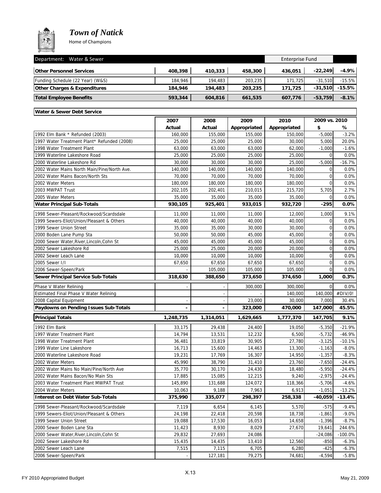

Home of Champions

| Water & Sewer<br>Department:            | Enterprise Fund |                    |         |         |           |          |
|-----------------------------------------|-----------------|--------------------|---------|---------|-----------|----------|
| <b>Other Personnel Services</b>         | 408,398         | 410,333            | 458,300 | 436.051 | $-22.249$ | $-4.9%$  |
| Funding Schedule (22 Year) (W&S)        |                 | 184.946<br>194,483 | 203.235 | 171.725 | $-31.510$ | $-15.5%$ |
| <b>Other Charges &amp; Expenditures</b> | 184,946         | 194,483            | 203,235 | 171,725 | $-31.510$ | $-15.5%$ |
| <b>Total Employee Benefits</b>          | 593,344         | 604,816            | 661,535 | 607,776 | $-53.759$ | $-8.1%$  |

#### **Water & Sewer Debt Service**

|                                             | 2007                     | 2008                     | 2009         | 2010         | 2009 vs. 2010 |            |  |
|---------------------------------------------|--------------------------|--------------------------|--------------|--------------|---------------|------------|--|
|                                             | Actual                   | Actual                   | Appropriated | Appropriated | \$            | ℅          |  |
| 1992 Elm Bank * Refunded (2003)             | 160,000                  | 155,000                  | 155,000      | 150,000      | $-5,000$      | $-3.2%$    |  |
| 1997 Water Treatment Plant* Refunded (2008) | 25,000                   | 25,000                   | 25,000       | 30,000       | 5,000         | 20.0%      |  |
| 1998 Water Treatment Plant                  | 63,000                   | 63,000                   | 63,000       | 62,000       | $-1,000$      | $-1.6%$    |  |
| 1999 Waterline Lakeshore Road               | 25,000                   | 25,000                   | 25,000       | 25,000       | $\Omega$      | 0.0%       |  |
| 2000 Waterline Lakeshore Rd                 | 30,000                   | 30,000                   | 30,000       | 25,000       | $-5,000$      | $-16.7%$   |  |
| 2002 Water Mains North Main/Pine/North Ave. | 140,000                  | 140,000                  | 140,000      | 140,000      | $\mathbf 0$   | 0.0%       |  |
| 2002 Water Mains Bacon/North Sts            | 70,000                   | 70,000                   | 70,000       | 70,000       | 0             | 0.0%       |  |
| 2002 Water Meters                           | 180,000                  | 180,000                  | 180,000      | 180.000      | $\mathbf 0$   | 0.0%       |  |
| 2003 MWPAT Trust                            | 202,105                  | 202,401                  | 210,015      | 215,720      | 5,705         | 2.7%       |  |
| 2005 Water Meters                           | 35,000                   | 35,000                   | 35,000       | 35,000       | $\Omega$      | 0.0%       |  |
| <b>Water Principal Sub-Totals</b>           | 930,105                  | 925,401                  | 933,015      | 932,720      | -295          | 0.0%       |  |
| 1998 Sewer-Pleasant/Rockwood/Scardsdale     | 11,000                   | 11,000                   | 11,000       | 12,000       | 1,000         | 9.1%       |  |
| 1999 Sewers-Eliot/Union/Pleasant & Others   | 40,000                   | 40,000                   | 40,000       | 40,000       | $\mathbf 0$   | 0.0%       |  |
| 1999 Sewer Union Street                     | 35,000                   | 35,000                   | 30,000       | 30,000       | 0             | 0.0%       |  |
| 2000 Boden Lane Pump Sta                    | 50,000                   | 50,000                   | 45,000       | 45,000       | $\mathbf 0$   | 0.0%       |  |
| 2000 Sewer Water, River, Lincoln, Cohn St   | 45,000                   | 45,000                   | 45,000       | 45,000       | $\mathbf 0$   | 0.0%       |  |
| 2002 Sewer Lakeshore Rd                     | 25,000                   | 25,000                   | 20,000       | 20,000       | $\mathbf 0$   | 0.0%       |  |
| 2002 Sewer Leach Lane                       | 10,000                   | 10,000                   | 10,000       | 10,000       | 0             | 0.0%       |  |
| 2005 Sewer I/I                              | 67,650                   | 67,650                   | 67,650       | 67.650       | $\mathbf 0$   | 0.0%       |  |
| 2006 Sewer-Speen/Park                       |                          | 105,000                  | 105,000      | 105,000      | $\mathbf 0$   | 0.0%       |  |
| <b>Sewer Principal Service Sub-Totals</b>   | 318,630                  | 388,650                  | 373,650      | 374,650      | 1,000         | 0.3%       |  |
| Phase V Water Relining                      |                          |                          | 300,000      | 300,000      | $\mathbf 0$   | 0.0%       |  |
| Estimated Final Phase V Water Relining      |                          |                          |              | 140,000      | 140,000       | #DIV/0!    |  |
| 2008 Capital Equipment                      |                          |                          | 23,000       | 30,000       | 7,000         | 30.4%      |  |
| Paydowns on Pending Issues Sub-Totals       | $\overline{\phantom{a}}$ | $\overline{\phantom{0}}$ | 323,000      | 470,000      | 147,000       | 45.5%      |  |
| <b>Principal Totals</b>                     | 1,248,735                | 1,314,051                | 1,629,665    | 1,777,370    | 147,705       | 9.1%       |  |
| 1992 Elm Bank                               | 33,175                   | 29,438                   | 24,400       | 19,050       | $-5,350$      | $-21.9%$   |  |
| 1997 Water Treatment Plant                  | 14,794                   | 13,531                   | 12,232       | 6,500        | $-5,732$      | $-46.9%$   |  |
| 1998 Water Treatment Plant                  | 36,481                   | 33,819                   | 30,905       | 27,780       | $-3,125$      | $-10.1%$   |  |
| 1999 Water Line Lakeshore                   | 16,713                   | 15,600                   | 14,463       | 13,300       | $-1,163$      | $-8.0%$    |  |
| 2000 Waterline Lakeshore Road               | 19,231                   | 17,769                   | 16,307       | 14,950       | $-1,357$      | $-8.3%$    |  |
| 2002 Water Meters                           | 45,990                   | 38,790                   | 31,410       | 23,760       | $-7,650$      | $-24.4%$   |  |
| 2002 Water Mains No Main/Pine/North Ave     | 35,770                   | 30,170                   | 24,430       | 18,480       | $-5,950$      | $-24.4%$   |  |
| 2002 Water Mains Bacon/No Main Sts          | 17,885                   | 15,085                   | 12,215       | 9,240        | $-2,975$      | $-24.4%$   |  |
| 2003 Water Treatment Plant MWPAT Trust      | 145,890                  | 131,688                  | 124,072      | 118,366      | $-5,706$      | $-4.6%$    |  |
| 2004 Water Meters                           | 10,063                   | 9,188                    | 7,963        | 6,913        | $-1,051$      | $-13.2%$   |  |
| <b>Interest on Debt Water Sub-Totals</b>    | 375,990                  | 335,077                  | 298,397      | 258,338      | $-40,059$     | $-13.4%$   |  |
| 1998 Sewer-Pleasant/Rockwood/Scardsdale     | 7,119                    | 6,654                    | 6,145        | 5,570        | $-575$        | $-9.4%$    |  |
| 1999 Sewers-Eliot/Union/Pleasant & Others   | 24,198                   | 22,418                   | 20,598       | 18,738       | $-1,861$      | $-9.0%$    |  |
| 1999 Sewer Union Street                     | 19,088                   | 17,530                   | 16,053       | 14,658       | $-1,396$      | $-8.7\%$   |  |
| 2000 Sewer Boden Lane Sta                   | 11,423                   | 8,930                    | 8,029        | 27,670       | 19,641        | 244.6%     |  |
| 2000 Sewer Water, River, Lincoln, Cohn St   | 29,832                   | 27,693                   | 24,086       |              | $-24,086$     | $-100.0\%$ |  |
| 2002 Sewer Lakeshore Rd                     | 15,435                   | 14,435                   | 13,410       | 12,560       | $-850$        | $-6.3%$    |  |
| 2002 Sewer Leach Lane                       | 7,515                    | 7,115                    | 6,705        | 6,280        | $-425$        | $-6.3%$    |  |
| 2006 Sewer-Speen/Park                       |                          | 127,181                  | 79,275       | 74,681       | $-4,594$      | $-5.8%$    |  |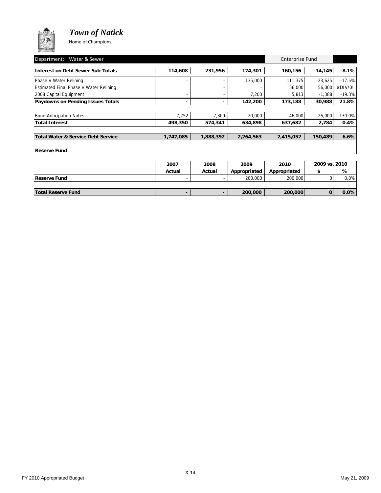

Home of Champions

| Department:<br>Water & Sewer             |                |                          |              | <b>Enterprise Fund</b> |               |          |  |
|------------------------------------------|----------------|--------------------------|--------------|------------------------|---------------|----------|--|
| <b>Interest on Debt Sewer Sub-Totals</b> | 114,608        | 231,956                  | 174,301      | 160,156                | $-14, 145$    | $-8.1%$  |  |
| Phase V Water Relining                   |                | ٠                        | 135,000      | 111,375                | $-23,625$     | $-17.5%$ |  |
| Estimated Final Phase V Water Relining   |                |                          |              | 56,000                 | 56,000        | #DIV/0!  |  |
| 2008 Capital Equipment                   |                | ٠                        | 7,200        | 5,813                  | $-1,388$      | $-19.3%$ |  |
| Paydowns on Pending Issues Totals        | $\blacksquare$ | $\overline{\phantom{0}}$ | 142,200      | 173,188                | 30,988        | 21.8%    |  |
|                                          |                |                          |              |                        |               |          |  |
| <b>Bond Anticipation Notes</b>           | 7,752          | 7,309                    | 20,000       | 46,000                 | 26,000        | 130.0%   |  |
| <b>Total Interest</b>                    | 498,350        | 574,341                  | 634,898      | 637,682                | 2,784         | 0.4%     |  |
|                                          |                |                          |              |                        |               |          |  |
| Total Water & Service Debt Service       | 1,747,085      | 1,888,392                | 2,264,563    | 2,415,052              | 150,489       | 6.6%     |  |
| <b>Reserve Fund</b>                      |                |                          |              |                        |               |          |  |
|                                          | 2007           | 2008                     | 2009         | 2010                   | 2009 vs. 2010 |          |  |
|                                          | Actual         | Actual                   | Appropriated | Appropriated           | \$            | %        |  |
| <b>Reserve Fund</b>                      | ٠              |                          | 200,000      | 200,000                | $\mathbf 0$   | 0.0%     |  |
|                                          |                |                          |              |                        |               |          |  |
| <b>Total Reserve Fund</b>                | $\blacksquare$ | $\overline{\phantom{0}}$ | 200,000      | 200,000                | $\mathbf 0$   |          |  |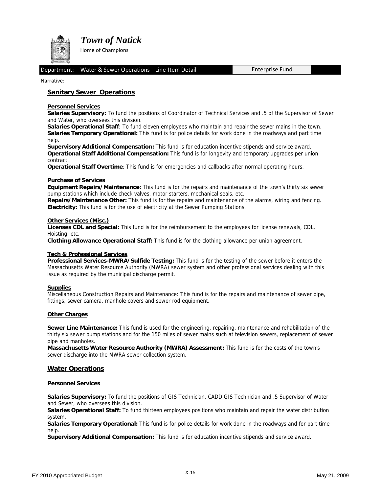

Home of Champions

#### Department: Water & Sewer Operations Line-Item Detail

Enterprise Fund

#### Narrative:

#### **Sanitary Sewer Operations**

#### **Personnel Services**

**Salaries Supervisory:** To fund the positions of Coordinator of Technical Services and .5 of the Supervisor of Sewer and Water, who oversees this division.

**Salaries Operational Staff**: To fund eleven employees who maintain and repair the sewer mains in the town. **Salaries Temporary Operational:** This fund is for police details for work done in the roadways and part time heln

**Supervisory Additional Compensation:** This fund is for education incentive stipends and service award. **Supervisory Additional Compensation:** This fund is for education incentive stipends and service award.**Operational Staff Additional Compensation:** This fund is for longevity and temporary upgrades per union contract.

**Operational Staff Overtime**: This fund is for emergencies and callbacks after normal operating hours.

#### **Purchase of Services**

**Equipment Repairs/Maintenance:** This fund is for the repairs and maintenance of the town's thirty six sewer pump stations which include check valves, motor starters, mechanical seals, etc.

**Repairs/Maintenance Other:** This fund is for the repairs and maintenance of the alarms, wiring and fencing. **Electricity:** This fund is for the use of electricity at the Sewer Pumping Stations. **Electricity:** This fund is for the use of electricity at the Sewer Pumping Stations.

#### **Other Services (Misc.)**

**Licenses CDL and Special:** This fund is for the reimbursement to the employees for license renewals, CDL, Hoisting, etc.

**Clothing Allowance Operational Staff:** This fund is for the clothing allowance per union agreement.

#### **Tech & Professional Services**

**Professional Services-MWRA/Sulfide Testing:** This fund is for the testing of the sewer before it enters the Massachusetts Water Resource Authority (MWRA) sewer system and other professional services dealing with this<br>issue as required by the municipal discharge permit.

#### **Supplies**

Miscellaneous Construction Repairs and Maintenance: This fund is for the repairs and maintenance of sewer pipe, fittings, sewer camera, manhole covers and sewer rod equipment.

#### **Other Charges**

**Sewer Line Maintenance:** This fund is used for the engineering, repairing, maintenance and rehabilitation of the thirty six sewer pump stations and for the 150 miles of sewer mains such at television sewers, replacement of sewer pipe and manholes.

**Massachusetts Water Resource Authority (MWRA) Assessment:** This fund is for the costs of the town's sewer discharge into the MWRA sewer collection system.

#### **Water Operations**

#### **Personnel Services**

**Salaries Supervisory:** To fund the positions of GIS Technician, CADD GIS Technician and .5 Supervisor of Water and Sewer, who oversees this division.

**Salaries Operational Staff:** To fund thirteen employees positions who maintain and repair the water distribution system.

**Salaries Temporary Operational:** This fund is for police details for work done in the roadways and for part time help.

**Supervisory Additional Compensation:** This fund is for education incentive stipends and service award.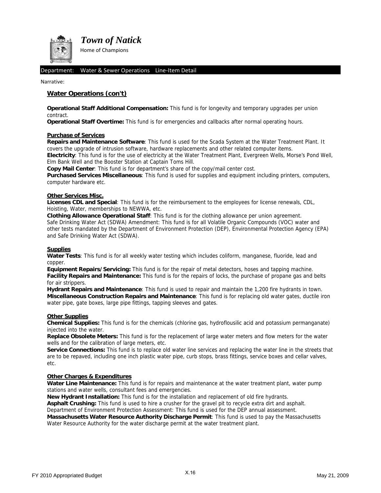

Home of Champions

#### Department: Water & Sewer Operations Line-Item Detail

Narrative:

#### **Water Operations (con't)**

**Operational Staff Additional Compensation:** This fund is for longevity and temporary upgrades per union contract.

**Operational Staff Overtime:** This fund is for emergencies and callbacks after normal operating hours.

#### **Purchase of Services**

**Repairs and Maintenance Software**: This fund is used for the Scada System at the Water Treatment Plant. It covers the upgrade of intrusion software, hardware replacements and other related computer items.

Electricity: This fund is for the use of electricity at the Water Treatment Plant, Evergreen Wells, Morse's Pond Well, Elm Bank Well and the Booster Station at Captain Toms Hill.

**Copy Mail Center**: This fund is for department's share of the copy/mail center cost.

**Purchased Services Miscellaneous**: This fund is used for supplies and equipment including printers, computers, computer hardware etc.

#### **Other Services Misc.**

**Licenses CDL and Special**: This fund is for the reimbursement to the employees for license renewals, CDL, Hoisting, Water, memberships to NEWWA, etc.

**Clothing Allowance Operational Staff**: This fund is for the clothing allowance per union agreement. Safe Drinking Water Act (SDWA) Amendment: This fund is for all Volatile Organic Compounds (VOC) water and other tests mandated by the Department of Environment Protection (DEP), Environmental Protection Agency (EPA) and Safe Drinking Water Act (SDWA).

#### **Supplies**

**Water Tests**: This fund is for all weekly water testing which includes coliform, manganese, fluoride, lead and copper.

**Equipment Repairs/Servicing:** This fund is for the repair of metal detectors, hoses and tapping machine. **Facility Repairs and Maintenance:** This fund is for the repairs of locks, the purchase of propane gas and belts for air strippers.

**Hydrant Repairs and Maintenance**: This fund is used to repair and maintain the 1,200 fire hydrants in town. **Miscellaneous Construction Repairs and Maintenance**: This fund is for replacing old water gates, ductile iron water pipe, gate boxes, large pipe fittings, tapping sleeves and gates.

#### **Other Supplies**

Chemical Supplies: This fund is for the chemicals (chlorine gas, hydroflousilic acid and potassium permanganate) injected into the water.

**Replace Obsolete Meters:** This fund is for the replacement of large water meters and flow meters for the water wells and for the calibration of large meters, etc.

**Service Connections:** This fund is to replace old water line services and replacing the water line in the streets that are to be repaved, including one inch plastic water pipe, curb stops, brass fittings, service boxes and cellar valves, etc.

#### **Other Charges & Expenditures**

**Water Line Maintenance:** This fund is for repairs and maintenance at the water treatment plant, water pump stations and water wells, consultant fees and emergencies.

**New Hydrant Installation:** This fund is for the installation and replacement of old fire hydrants.

**Asphalt Crushing:** This fund is used to hire a crusher for the gravel pit to recycle extra dirt and asphalt.

Department of Environment Protection Assessment: This fund is used for the DEP annual assessment.

**Massachusetts Water Resource Authority Discharge Permit**: This fund is used to pay the Massachusetts Water Resource Authority for the water discharge permit at the water treatment plant.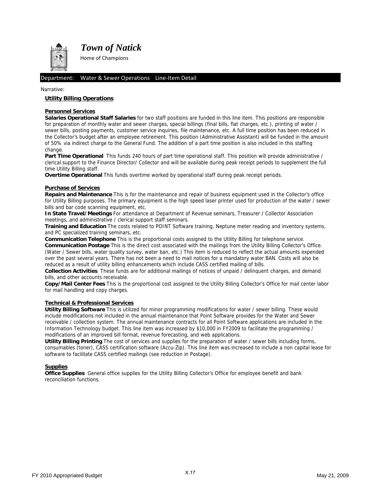

Home of Champions

#### Department: Water & Sewer Operations Line-Item Detail

Narrative:

#### **Utility Billing Operations**

#### **Personnel Services**

**Salaries Operational Staff Salaries** for two staff positions are funded in this line item. This positions are responsible for preparation of monthly water and sewer charges, special billings (final bills, flat charges, etc.), printing of water / sewer bills, posting payments, customer service inquiries, file maintenance, etc. A full time position has been reduced in the Collector's budget after an employee retirement. This position (Administrative Assistant) will be funded in the amount of 50% via indirect charge to the General Fund. The addition of a part time position is also included in this staffing change.

Part Time Operational This funds 240 hours of part time operational staff. This position will provide administrative / clerical support to the Finance Director/ Collector and will be available during peak receipt periods to supplement the full time Utility Billing staff.

**Overtime Operational** This funds overtime worked by operational staff during peak receipt periods.

#### **Purchase of Services**

**Repairs and Maintenance** This is for the maintenance and repair of business equipment used in the Collector's office for Utility Billing purposes. The primary equipment is the high speed laser printer used for production of the water / sewer bills and bar code scanning equipment, etc.

**In State Travel/Meetings** For attendance at Department of Revenue seminars, Treasurer / Collector Association meetings, and administrative / clerical support staff seminars.

**Training and Education** The costs related to POINT Software training, Neptune meter reading and inventory systems, and PC specialized training seminars, etc.

**Communication Telephone** This is the proportional costs assigned to the Utility Billing for telephone service. **Communication Postage** This is the direct cost associated with the mailings from the Utility Billing Collector's Office. (Water / Sewer bills, water quality survey, water ban, etc.) This item is reduced to reflect the actual amounts expended over the past several years. There has not been a need to mail notices for a mandatory water BAN. Costs will also be reduced as a result of utility billing enhancements which include CASS certified mailing of bills.

Collection Activities These funds are for additional mailings of notices of unpaid / delinquent charges, and demand bills, and other accounts receivable.

**Copy/Mail Center Fees** This is the proportional cost assigned to the Utility Billing Collector's Office for mail center labor for mail handling and copy charges.

#### **Technical & Professional Services**

**Utility Billing Software** This is utilized for minor programming modifications for water / sewer billing. These would include modifications not included in the annual maintenance that Point Software provides for the Water and Sewer receivable / collection system. The annual maintenance contracts for all Point Software applications are included in the Information Technology budget. This line item was increased by \$10,000 in FY2009 to facilitate the programming / modifications of an improved bill format, revenue forecasting, and web applications.

**Utility Billing Printing** The cost of services and supplies for the preparation of water / sewer bills including forms, consumables (toner), CASS certification software (Accu-Zip). This line item was increased to include a non capital lease for software to facilitate CASS certified mailings (see reduction in Postage).

#### **Supplies**

**Office Supplies** General office supplies for the Utility Billing Collector's Office for employee benefit and bank reconciliation functions functions.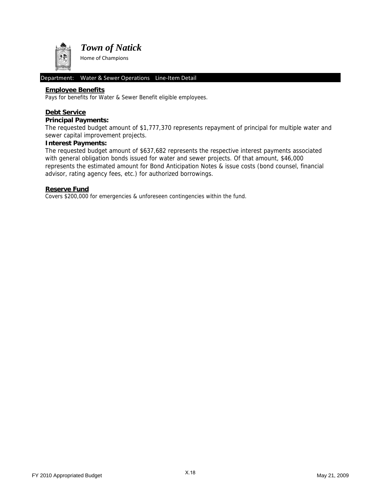

Home of Champions

## Department: Water & Sewer Operations Line-Item Detail

## **Employee Benefits**

Pays for benefits for Water & Sewer Benefit eligible employees.

## **Debt Service**

## **Principal Payments:**

The requested budget amount of \$1,777,370 represents repayment of principal for multiple water and sewer capital improvement projects.

## **Interest Payments:**

The requested budget amount of \$637,682 represents the respective interest payments associated with general obligation bonds issued for water and sewer projects. Of that amount, \$46,000 represents the estimated amount for Bond Anticipation Notes & issue costs (bond counsel, financial advisor, rating agency fees, etc.) for authorized borrowings.

## **Reserve Fund**

Covers \$200,000 for emergencies & unforeseen contingencies within the fund.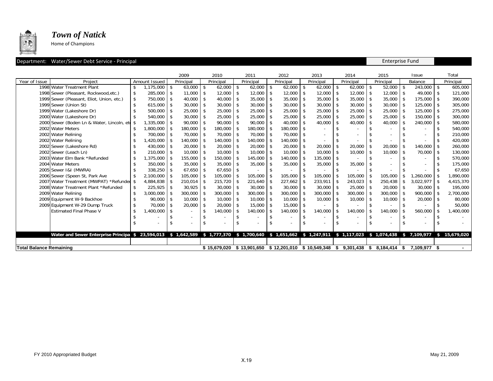

Home of Champions

#### Department: Water/Sewer Debt Service ‐ Principal 2009 2010 2011 2012 2013 2014 20152015 Issue Total Year of Issue Project Amount Issued Principal Principal Principal Principal Principal Principal Principal Balance Principal 1998 Water Treatment Plant  $\begin{array}{ccccccccccccc} \text{$\$} & 1,175,000 & \text{$\$} & 63,000 & \text{$\$} & 62,000 & \text{$\$} & 62,000 & \text{$\$} & 62,000 & \text{$\$} & 62,000 & \text{$\$} & 62,000 & \text{$\$} & 62,000 & \text{$\$} & 52,000 & \text{$\$} & 243,000 & \text{$\$} & 605,000 & \text{$\$} & 600 & \text$ 1998 Sewer (Pleasant, Rockwood,etc.) | \$285,000 | \$11,000 | \$12,000 | \$12,000 | \$12,000 | \$12,000 | \$12,000 | \$49,000 | \$121,000 | \$121,000 | \$121,000 | \$121,000 | \$121,000 | \$121,000 | \$121,000 | \$121,000 | \$121,000 \$121, 1999 Sewer (Pleasant, Eliot, Union, etc.) | \$750,000 | \$40,000 | \$40,000 | \$35,000 | \$35,000 | \$35,000 | \$35,000 \$ 35,000 \$ 390,000 \$ 390,000 \$ 390,000 \$ 1999|Sewer (Union St) |\$ 615,000 |\$ 30,000 |\$ 30,000 |\$ 30,000 |\$ 30,000 |\$ 30,000 |\$ 125,000 |\$ 305,000 1999 Water (Lakeshore Dr)  $\begin{array}{cccc} \s\; & 500,000 & \text{$\frac{1}{3}$} & 25,000 & \text{$\frac{1}{3}$} & 25,000 & \text{$\frac{1}{3}$} & 25,000 & \text{$\frac{1}{3}$} & 25,000 & \text{$\frac{1}{3}$} & 25,000 & \text{$\frac{1}{3}$} & 25,000 & \text{$\frac{1}{3}$} & 25,000 & \text{$\frac{1}{3}$} & 25,000 & \text{$\frac{1}{3}$} & 2$ 2000 Water (Lakeshore Dr) 540,000 \$ 30,000 \$ 25,000 \$ 25,000 \$ 25,000 \$ 25,000 \$ 25,000 \$ 150,000 \$ 300,000 \$ 2000 Sewer (Boden Ln & Water, Lincoln, etc \$ 1,335,000 | \$ 90,000 | \$ 90,000 | \$ 90,000 | \$ 40,000 | \$ 40,000 | \$ 580,000 \$ 580,000 \$ 580,000 \$ 590,000 \$ 580,000 \$ 580,000 \$ 580,000 \$ 580,000 \$ 590,000 \$ 590,000 \$ 590,000 2002|Water Meters | \$ 1,800,000 | \$ 180,000 | \$ 180,000 | \$ 180,000 | \$ - | \$ - | \$ - | \$ 540,000 2002|Water Relining | \$ 700,000 | \$ 70,000 | \$ 70,000 | \$ 70,000 | \$ - | \$ - | \$ - | \$ 210,000 2002|Water Relining | \$ 1,420,000 | \$ 140,000 | \$ 140,000 | \$ 140,000 | \$ - | \$ - | \$ - | \$ 420,000 2002 Sewer (Lakeshore Rd)  $\frac{1}{3}$  430,000  $\frac{1}{3}$  20,000  $\frac{1}{3}$  20,000  $\frac{1}{3}$  20,000  $\frac{1}{3}$  20,000  $\frac{1}{3}$  20,000  $\frac{1}{3}$  20,000  $\frac{1}{3}$  260,000 2002 Sewer (Leach Ln) \$ 210,000 \$ 10,000 \$ 10,000 \$ 10,000 \$ 10,000 \$ 10,000 \$ 10,000 \$ 10,000 \$ 70,000 \$ 130,000 2003 Water Elm Bank \*Refundedd |\$ 1,375,000 |\$ 155,000 |\$ 150,000 |\$ 145,000 |\$ 140,000 |\$ 135,000 |\$ - |\$ - |\$ 570,000 2004 Water Meters \$ 350,000 \$ 35,000 \$ 35,000 \$ 35,000 \$ 35,000 \$ 35,000 \$ 35,000 -\$ \$ - \$ 175,000 2005 Sewer I&I (MWRA) \$ 338,250 \$ 67,650 \$ 67,650 -\$ -\$ -\$ -\$ -\$ \$ - \$ 67,650 2006 Sewer (Speen St, Park Ave \$ 2,100,000 \$ 105,000 \$ 105,000 \$ 105,000 \$ 105,000 \$ 105,000 \$ 105,000 \$ 1,890,000<br>2007 Water Treatment (MWPAT) \*Refunded \$ 4,884,838 \$ 210,014 \$ 215,720 \$ 221,640 \$ 227,662 \$ 233,911 \$ 243, 2007 Water Treatment (MWPAT) \*Refunded \$ 4.884.838 | \$ 210,014 | \$ 215,720 | \$ 221,640 | \$ 227,662 | \$ 233,911 | \$ 243,023 | \$ 250,438 | \$ 3,022,977 | \$ 4.415,370 2008 Water Treatment Plant \*Refunded 225,925 \$ 30,925 \$ 30,000 \$ 30,000 \$ 30,000 \$ 30,000 \$ 25,000 \$ 20,000 \$ 30,000 \$ 195,000 \$ 2009|Water Relining | \$ 3,000,000 | \$ 300,000 | \$ 300,000 | \$ 300,000 | \$ 300,000 | \$ 300,000 | \$ 900,000 | \$ 2,700,000 2009 Equipment W-9 Backhoe  $\begin{array}{cccc} | \text{ $s$} & 90,000 | \text{ $s$} & 10,000 | \text{ $s$} & 10,000 | \text{ $s$} & 10,000 | \text{ $s$} & 10,000 | \text{ $s$} & 10,000 | \text{ $s$} & 10,000 | \text{ $s$} & 10,000 | \text{ $s$} & 20,000 | \text{ $s$} & 80,000 | \text{ $s$} & 10,000 | \text{ $s$} & 1$ 2009|Equipment W-29 Dump Truck | \$ 70,000 | \$ 20,000 | \$ 15,000 | \$ - | \$ - | \$ - | \$ 50,000 | Enterprise Fund Estimated Final Phase V \$ 1,400,000 -\$ \$ 140,000 \$ 140,000 \$ 140,000 \$ 140,000 \$ 140,000 \$ 140,000 \$ 560,000 \$ 1,400,000 \$ -\$ - -\$ -\$ -\$ -\$ -\$ -\$ \$ - \$ - \$ - -\$ -\$ -\$ -\$ -\$ -\$ -\$ \$ - \$ - Water and Sewer Enterprise Principa \$ 23,594,013 \$ 1,642,589 \$ 1,777,370 \$ 1,700,640 \$ 1,651,662 \$ 1,247,911 \$ 1,117,023 \$ 1,074,438 \$ 7,109,977 \$ 15,679,020

**Total Balance Remaining \$ 15,679,020 \$ 13,901,650 \$ 12,201,010 \$ 10,549,348 \$ 9,301,438 \$ 8,184,414 \$ 7,109,977 \$ -**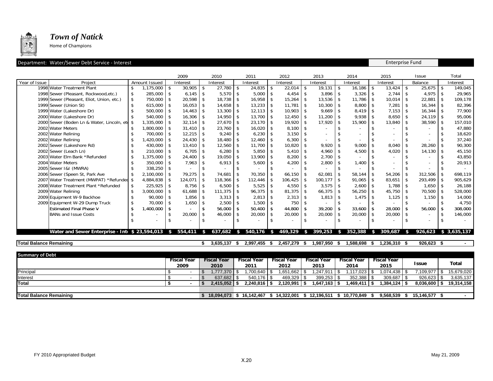

Home of Champions

|                                | Department: Water/Sewer Debt Service - Interest<br><b>Enterprise Fund</b> |                    |               |                    |                    |                    |                    |                    |                       |                    |                    |               |                                                                       |                    |                    |                    |                          |                         |                |                    |                      |
|--------------------------------|---------------------------------------------------------------------------|--------------------|---------------|--------------------|--------------------|--------------------|--------------------|--------------------|-----------------------|--------------------|--------------------|---------------|-----------------------------------------------------------------------|--------------------|--------------------|--------------------|--------------------------|-------------------------|----------------|--------------------|----------------------|
|                                |                                                                           |                    |               |                    |                    |                    |                    |                    |                       |                    |                    |               |                                                                       |                    |                    |                    |                          |                         |                |                    |                      |
|                                |                                                                           |                    |               |                    | 2009               |                    | 2010               |                    | 2011                  |                    | 2012               |               | 2013                                                                  |                    | 2014               |                    | 2015                     |                         | <b>Issue</b>   |                    | Total                |
| Year of Issue                  | Project                                                                   |                    | Amount Issued |                    | Interest           |                    | Interest           |                    | Interest              |                    | Interest           |               | Interest                                                              |                    | Interest           |                    | Interest                 |                         | Balance        |                    | Interest             |
|                                | 1998 Water Treatment Plant                                                | \$                 | 1,175,000     |                    | 30,905             | $\sqrt{3}$         | 27,780             | \$                 | 24,835                | -\$                | 22,014             | \$            | $19,131$ \$                                                           |                    | 16,186             | \$                 | $13,424$ \$              |                         | $25,675$ \$    |                    | 149,045              |
|                                | 1998 Sewer (Pleasant, Rockwood, etc.)                                     | $\sqrt[6]{3}$      | 285,000       | \$                 | 6,145              | $\vert$ \$         | 5,570              | \$                 | 5,000                 | <b>S</b>           | 4,454              | \$            | 3,896                                                                 | $\mathfrak{S}$     | 3,326              | $\sqrt{2}$         | 2,744                    | \$                      | 4,975          | $\sqrt{2}$         | 29,965               |
|                                | 1999 Sewer (Pleasant, Eliot, Union, etc.)                                 | $\sqrt{2}$         | 750,000       | $\mathbf{\hat{S}}$ | 20,598             | l \$               | 18,738             | \$                 | 16,958                | \$                 | 15,264             | \$            | 13,536                                                                | $\mathfrak{S}$     | 11,786             | $\sqrt{2}$         | 10,014                   | $\sqrt[6]{3}$           | 22,881         | $\mathsf{\$}$      | 109,178              |
|                                | 1999 Sewer (Union St)                                                     | $\mathbf{\hat{S}}$ | 615,000       |                    | 16,053             | l \$               | 14,658             | \$                 | $13,233$ \$           |                    | 11,781             | \$            | 10,300                                                                | \$                 | 8,800              | \$                 | 7,281                    | $\sqrt[6]{3}$           | 16,344         | $\mathsf{\$}$      | 82,396               |
|                                | 1999 Water (Lakeshore Dr)                                                 | $\mathbf{\hat{S}}$ | 500,000       |                    | 14,463             | l \$               | 13,300             | \$                 | $12,113$ \$           |                    | 10,903             | \$            | 9,669                                                                 | $\mathfrak{S}$     | 8,419              | $\mathbf{\hat{S}}$ | 7,153                    | $\sqrt[6]{\frac{1}{2}}$ | 16,344         | $\sqrt{2}$         | 77,900               |
|                                | 2000 Water (Lakeshore Dr)                                                 | $\mathbf{\hat{S}}$ | 540,000       |                    | 16,306             | l \$               | 14,950             | \$                 | 13,700                | $\mathbf{\hat{s}}$ | 12,450             | \$            | 11,200                                                                | $\mathbf{\hat{S}}$ | 9,938              | $\mathbf{\hat{S}}$ | 8,650                    | \$                      | 24,119         | $\mathbf{\hat{S}}$ | 95,006               |
|                                | 2000 Sewer (Boden Ln & Water, Lincoln, etc                                | -\$                | 1,335,000     |                    | 32,114             | l \$               | 27,670             | \$                 | $23,170$ \$           |                    | 19,920             | \$            | 17,920                                                                | $\mathbf{\hat{S}}$ | 15,900             | $\mathbf{\hat{S}}$ | 13,840                   | -\$                     | 38,590         | $\sqrt{2}$         | 157,010              |
|                                | 2002 Water Meters                                                         | \$                 | 1,800,000     |                    | 31,410             | l \$               | 23,760             | \$                 | 16,020                | <b>S</b>           | 8,100              | \$            |                                                                       | $\mathbf{\hat{S}}$ |                    | \$                 |                          | \$                      |                | $\mathsf{\$}$      | 47,880               |
|                                | 2002 Water Relining                                                       | $\mathbf{\hat{S}}$ | 700,000       |                    | 12,215             | l \$               | 9,240              | $\mathbf{\hat{S}}$ | 6,230                 | <b>S</b>           | 3,150              | \$            | $\sim$                                                                | $\mathbf{\hat{S}}$ |                    | \$                 | $\overline{\phantom{a}}$ | \$                      | $\blacksquare$ | \$                 | 18,620               |
|                                | 2002 Water Relining                                                       | -\$                | 1,420,000     |                    | 24,430             | l \$               | 18,480             | \$                 | 12,460                | $\mathbf{\hat{S}}$ | 6,300              | \$            |                                                                       |                    |                    | $\mathsf{\$}$      |                          | \$                      |                | \$                 | 37,240               |
|                                | 2002 Sewer (Lakeshore Rd)                                                 | \$                 | 430,000       |                    | 13,410             | l \$               | 12,560             | $\mathbf{\hat{S}}$ | 11,700                | $\mathfrak{S}$     | 10,820             | \$            | 9,920                                                                 | $\mathbf{\hat{S}}$ | 9,000              | $\sqrt{2}$         | 8,040                    | $\sqrt{2}$              | 28,260         | \$                 | 90,300               |
|                                | 2002 Sewer (Leach Ln)                                                     | $\sqrt{2}$         | 210,000       | \$                 | 6,705              | l \$               | 6,280              | $\mathbf{\hat{S}}$ | $5,850$ \$            |                    | 5,410              | \$            | 4,960                                                                 | $\mathfrak{S}$     | 4,500              | $\sqrt{2}$         | 4,020                    | \$                      | 14,130         | $\sqrt{2}$         | 45,150               |
|                                | 2003 Water Elm Bank *Refunded                                             | $\mathbf{\hat{S}}$ | 1,375,000     |                    | 24,400             | l \$               | 19,050             | \$                 | 13,900                | \$                 | 8,200              | \$            | 2,700                                                                 | $\mathsf{\$}$      |                    | $\mathsf{\$}$      |                          | \$                      |                | \$                 | 43,850               |
|                                | 2004 Water Meters                                                         | $\mathbf{\hat{S}}$ | 350,000       |                    | 7,963              | l \$               | 6,913              | $\mathfrak{S}$     | 5,600                 | \$                 | 4,200              | \$            | 2,800                                                                 | \$                 | 1,400              | \$                 |                          | \$                      |                | \$                 | 20,913               |
|                                | 2005 Sewer 1&I (MWRA)                                                     | $\mathbf{\hat{S}}$ | 338,250       | -\$                |                    | $\mathbf{\hat{S}}$ |                    | \$                 |                       | \$                 |                    | \$            |                                                                       | \$                 |                    | \$                 |                          | \$                      |                | \$                 |                      |
|                                | 2006 Sewer (Speen St, Park Ave                                            | \$                 | 2,100,000     |                    | 79,275             | l \$               | 74,681             | \$                 | 70,350                | \$                 | 66,150             | \$            | 62,081                                                                | $\mathbf{\hat{S}}$ | 58,144             | \$                 | 54,206                   | $\sqrt[6]{3}$           | 312,506        | -\$                | 698,119              |
|                                | 2007 Water Treatment (MWPAT) *Refunded                                    | \$                 | 4,884,838     |                    | 124,071            | l \$               | 118,366            | \$                 | 112,446               | \$                 | 106,425            | \$            | 100,177                                                               | $\mathfrak{S}$     | 91,065             | $\sqrt{2}$         | 83,651                   | \$                      | 293,499        | \$                 | 905,629              |
|                                | 2008 Water Treatment Plant *Refunded                                      | \$                 | 225,925       |                    | 8,756              | l \$               | 6,500              | \$                 | 5,525                 | $\mathfrak{S}$     | 4,550              | \$            | 3,575                                                                 | $\mathfrak{S}$     | 2,600              | \$                 | 1,788                    | \$                      | 1,650          | $\sqrt{2}$         | 26,188               |
|                                | 2009 Water Relining                                                       | $\mathbf{\hat{S}}$ | 3,000,000     |                    | 61,688             | $\frac{1}{3}$      | 111,375            | \$                 | 96,375                | \$                 | 81,375             | \$            | 66,375                                                                | \$                 | 56,250             | \$                 | 45,750                   | \$                      | 70,500         | $\mathsf{\$}$      | 528,000              |
|                                | 2009 Equipment W-9 Backhoe                                                | $\sqrt{2}$         | 90,000        |                    | 1,856              | <b>S</b>           | 3,313              | \$                 | 2,813                 | \$                 | 2,313              | $\mathsf{\$}$ | 1,813                                                                 | \$                 | 1,475              | $\sqrt{2}$         | 1,125                    | \$                      | 1,150          | $\sqrt{2}$         | 14,000               |
|                                | 2009 Equipment W-29 Dump Truck                                            | \$                 | 70,000        |                    | 1,650              | l \$               | 2,500              | \$                 | 1,500                 | $\mathfrak{S}$     | 750                | \$            |                                                                       | $\mathbf{\hat{S}}$ |                    | $\mathsf{\$}$      |                          | \$                      |                | \$                 | 4,750                |
|                                | <b>Estimated Final Phase V</b>                                            | $\sqrt{2}$         | 1,400,000     | -\$                |                    | -\$                | 56,000             | $\mathbf{\hat{S}}$ | 50,400                | $\mathbf{\hat{S}}$ | 44,800             | \$            | 39,200                                                                | \$                 | 33,600             | \$                 | 28,000                   | -\$                     | 56,000         | -\$                | 308,000              |
|                                | <b>BANs and Issue Costs</b>                                               | $\mathsf{\$}$      |               |                    | 20,000             | - \$               | 46,000             | \$                 | 20,000                | \$                 | 20,000             | \$            | 20,000                                                                | \$                 | 20,000             | $\mathfrak{S}$     | 20,000                   | \$                      |                | \$                 | 146,000              |
|                                |                                                                           | $\mathbf{\hat{S}}$ |               |                    |                    | -\$                |                    | $\mathbf{\hat{S}}$ |                       | \$                 |                    | \$            |                                                                       | $\mathbf{\hat{S}}$ |                    | $\mathfrak{F}$     |                          | $\mathbf{\hat{S}}$      |                | \$                 |                      |
|                                |                                                                           |                    |               |                    |                    |                    |                    |                    |                       |                    |                    |               |                                                                       |                    |                    |                    |                          |                         |                |                    |                      |
|                                | Water and Sewer Enterprise - Inte $$23,594,013$ $$554,411$ $$$            |                    |               |                    |                    |                    |                    |                    | 637,682 \$ 540,176 \$ |                    | 469,329 \$         |               | $399,253$ \$                                                          |                    | 352,388 \$         |                    | 309,687                  | $\mathbf{s}$            |                |                    | 926,623 \$ 3,635,137 |
| <b>Total Balance Remaining</b> |                                                                           |                    |               |                    |                    | \$                 | 3,635,137          | - \$               | 2,997,455             | - \$               | 2,457,279          | -\$           | 1,987,950                                                             | \$                 | 1.588.698          | \$                 | 1.236.310                | Ŝ.                      | 926.623        | \$                 |                      |
|                                |                                                                           |                    |               |                    |                    |                    |                    |                    |                       |                    |                    |               |                                                                       |                    |                    |                    |                          |                         |                |                    |                      |
| <b>Summary of Debt</b>         |                                                                           |                    |               |                    |                    |                    |                    |                    |                       |                    |                    |               |                                                                       |                    |                    |                    |                          |                         |                |                    |                      |
|                                |                                                                           |                    |               |                    | <b>Fiscal Year</b> |                    | <b>Fiscal Year</b> |                    | <b>Fiscal Year</b>    |                    | <b>Fiscal Year</b> |               | <b>Fiscal Year</b>                                                    |                    | <b>Fiscal Year</b> |                    | <b>Fiscal Year</b>       |                         |                |                    |                      |
|                                |                                                                           |                    |               |                    | 2009               |                    | 2010               |                    | 2011                  |                    | 2012               |               | 2013                                                                  |                    | 2014               |                    | 2015                     |                         | <b>Issue</b>   |                    | Total                |
| Principal                      |                                                                           |                    |               | \$                 | $\sim$             | \$                 | $1,777,370$ \$     |                    | $1,700,640$ \$        |                    | $1,651,662$ \$     |               | $1,247,911$ \$                                                        |                    | $1,117,023$ \$     |                    | $1,074,438$ \$           |                         |                |                    | 15,679,020           |
| Interest                       |                                                                           |                    |               | \$                 | $\sim$             | \$                 | 637,682 \$         |                    | 540,176 \$            |                    | 469,329 \$         |               | $399,253$ \$                                                          |                    | 352,388            | -\$                | 309,687 \$               |                         | 926,623 \$     |                    | 3,635,137            |
| <b>Total</b>                   |                                                                           |                    |               | \$                 | $\sim$             | \$                 | $2,415,052$ \$     |                    | $2,240,816$ \$        |                    | $2,120,991$ \$     |               | $1,647,163$ \$                                                        |                    | $1,469,411$ \ \$   |                    | $1,384,124$ \$           |                         | 8,036,600      | <b>S</b>           | 19,314,158           |
|                                |                                                                           |                    |               |                    |                    |                    |                    |                    |                       |                    |                    |               |                                                                       |                    |                    |                    |                          |                         |                |                    |                      |
| <b>Total Balance Remaining</b> |                                                                           |                    |               |                    |                    | S.                 |                    |                    |                       |                    |                    |               | 18.094.073 \$ 16.142.467 \$ 14.322.001 \$ 12.196.511 \$ 10.770.849 \$ |                    |                    |                    | 9.568.539                | - \$                    | 15.146.577 \$  |                    |                      |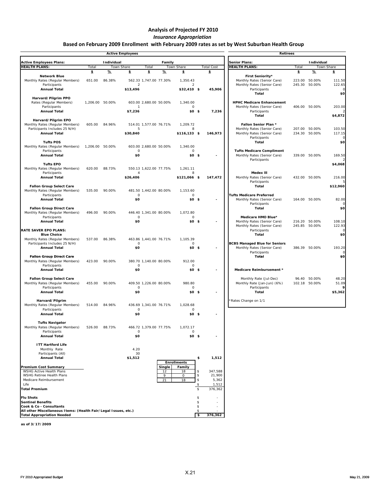## **Analysis of Projected FY 2010**

*Insurance Appropriation*

**Based on February 2009 Enrollment with February 2009 rates as set by West Suburban Health Group**

|                                                                                                                                                                                 |                 |                    | <b>Active Employees</b>    |                              |                         |                                |                            |                                                | <b>Retirees</b>                                                                              |       |                                |                                |
|---------------------------------------------------------------------------------------------------------------------------------------------------------------------------------|-----------------|--------------------|----------------------------|------------------------------|-------------------------|--------------------------------|----------------------------|------------------------------------------------|----------------------------------------------------------------------------------------------|-------|--------------------------------|--------------------------------|
| <b>Active Employees Plans:</b>                                                                                                                                                  | Individual      |                    |                            |                              |                         |                                |                            |                                                | <b>Senior Plans:</b>                                                                         |       | Individual                     |                                |
| <b>HEALTH PLANS:</b>                                                                                                                                                            | Total           |                    | <b>Town Share</b>          | Total                        | Family                  | Town Share                     |                            | <b>Total Cost</b>                              | <b>HEALTH PLANS:</b>                                                                         | Total |                                | <b>Town Share</b>              |
| <b>Network Blue</b><br>Monthly Rates (Regular Members)                                                                                                                          | \$<br>651.00    | <u>%</u><br>86.38% | \$                         | \$<br>562.33 1,747.00 77.30% | $\frac{9}{6}$           | \$<br>1,350.43                 |                            | \$                                             | First Seniority*<br>Monthly Rates (Senior Care)                                              | \$    | <u>%</u><br>223.00 50.00%      | \$<br>111.50                   |
| Participants<br><b>Annual Total</b>                                                                                                                                             |                 |                    | $\overline{2}$<br>\$13,496 |                              |                         | $\overline{2}$<br>$$32,410$ \$ |                            | 45,906                                         | Monthly Rates (Senior Care)<br>Participants<br>Total                                         |       | 245.30 50.00%                  | 122.65<br>\$0                  |
| Harvard/Pilgrim PPO<br>Rates (Regular Members)<br>Participants<br><b>Annual Total</b>                                                                                           | 1,206.00 50.00% |                    | $\mathbf{1}$<br>\$7,236    | 603.00 2,680.00 50.00%       |                         | 1,340.00<br>0<br>$$0$ \$       |                            | 7,236                                          | <b>HPHC Medicare Enhancement</b><br>Monthly Rates (Senior Care)<br>Participants<br>Total     |       | 406.00 50.00%                  | 203.00<br>\$4,872              |
| Harvard/Pilgrim EPO<br>Monthly Rates (Regular Members)<br>Participants Includes 25 N/H)<br><b>Annual Total</b>                                                                  | 605.00          | 84.96%             | 5<br>\$30,840              | 514.01 1,577.00 76.71%       |                         | 1,209.72<br>8<br>$$116,133$ \$ |                            | 146,973                                        | Fallon Senior Plan *<br>Monthly Rates (Senior Care)<br>Monthly Rates (Senior Care)           |       | 207.00 50.00%<br>234.30 50.00% | 103.50<br>117.15               |
| <b>Tufts POS</b><br>Monthly Rates (Regular Members)<br>Participants<br><b>Annual Total</b>                                                                                      | 1,206.00 50.00% |                    | $\circ$<br>\$0             | 603.00 2,680.00 50.00%       |                         | 1,340.00<br>0<br>$$0$ \$       |                            |                                                | Participants<br>Total<br><b>Tufts Medicare Compliment</b><br>Monthly Rates (Senior Care)     |       | 339.00 50.00%                  | \$0<br>169.50                  |
| <b>Tufts EPO</b><br>Monthly Rates (Regular Members)<br>Participants                                                                                                             | 620.00          | 88.73%             | 4                          | 550.13 1,622.00 77.75%       |                         | 1,261.11<br>8                  |                            |                                                | Participants<br><b>Medex III</b>                                                             |       |                                | \$4,068                        |
| <b>Annual Total</b><br><b>Fallon Group Select Care</b><br>Monthly Rates (Regular Members)                                                                                       | 535.00          | 90.00%             | \$26,406                   | 481.50 1.442.00 80.00%       |                         | $$121,066$ \$<br>1,153.60      |                            | 147,472                                        | Monthly Rates (Senior Care)<br>Participants<br>Total                                         |       | 432.00 50.00%                  | 216.00<br>\$12,960             |
| Participants<br><b>Annual Total</b>                                                                                                                                             |                 |                    | 0<br>\$0                   |                              |                         | 0<br>$$0$ \$                   |                            |                                                | <b>Tufts Medicare Preferred</b><br>Monthly Rates (Senior Care)<br>Participants               |       | 164.00 50.00%                  | 82.00<br>O                     |
| <b>Fallon Group Direct Care</b><br>Monthly Rates (Regular Members)<br>Participants<br><b>Annual Total</b>                                                                       | 496.00          | 90.00%             | $\circ$<br>\$0             | 446.40 1,341.00 80.00%       |                         | 1.072.80<br>O<br>$$0$ \$       |                            |                                                | Total<br>Medicare HMO Blue*<br>Monthly Rates (Senior Care)                                   |       | 216.20 50.00%                  | \$0<br>108.10                  |
| <b>RATE SAVER EPO PLANS:</b><br><b>Blue Choice</b><br>Monthly Rates (Regular Members)                                                                                           | 537.00          | 86.38%             |                            | 463.86 1,441.00 76.71%       |                         | 1,105.39                       |                            |                                                | Monthly Rates (Senior Care)<br>Participants<br>Total                                         |       | 245.85 50.00%                  | 122.93<br>\$0                  |
| Participants Includes 25 N/H)<br><b>Annual Total</b><br><b>Fallon Group Direct Care</b>                                                                                         |                 |                    | 0<br>\$0                   |                              |                         | 0<br>$$0$ \$                   |                            |                                                | <b>BCBS Managed Blue for Seniors</b><br>Monthly Rates (Senior Care)<br>Participants<br>Total |       | 386.39 50.00%                  | 193.20<br>\$0                  |
| Monthly Rates (Regular Members)<br>Participants<br><b>Annual Total</b>                                                                                                          | 423.00          | 90.00%             | 0<br>\$0                   | 380.70 1,140.00 80.00%       |                         | 912.00<br>$\Omega$<br>$$0$ \$  |                            | $\overline{\phantom{a}}$                       | Medicare Reimbursement *                                                                     |       |                                |                                |
| <b>Fallon Group Select Care</b><br>Monthly Rates (Regular Members)<br>Participants<br><b>Annual Total</b>                                                                       | 455.00          | 90.00%             | 0<br>\$0                   | 409.50 1,226.00 80.00%       |                         | 980.80<br>$\Omega$<br>$$0$ \$  |                            | $\overline{a}$                                 | Monthly Rate (Jul-Dec)<br>Monthly Rate (Jan-Jun) (6%)<br>Participants<br>Total               |       | 96.40 50.00%<br>102.18 50.00%  | 48.20<br>51.09<br>9<br>\$5,362 |
| Harvard/Pilgrim<br>Monthly Rates (Regular Members)                                                                                                                              | 514.00          | 84.96%             |                            | 436.69 1,341.00 76.71%       |                         | 1,028.68                       |                            |                                                | *Rates Change on 1/1                                                                         |       |                                |                                |
| Participants<br><b>Annual Total</b>                                                                                                                                             |                 |                    | $\mathbf 0$<br>\$0         |                              |                         | $\circ$<br>$$0$ \$             |                            | $\overline{\phantom{a}}$                       |                                                                                              |       |                                |                                |
| <b>Tufts Navigator</b><br>Monthly Rates (Regular Members)<br>Participants<br><b>Annual Total</b>                                                                                |                 | 526.00 88.73%      | 0<br>\$0                   | 466.72 1,379.00 77.75%       |                         | 1,072.17<br>0<br>$$0$ \$       |                            |                                                |                                                                                              |       |                                |                                |
| <b>ITT Hartford Life</b><br>Monthly Rate<br>Participants (All)<br><b>Annual Total</b>                                                                                           |                 |                    | 4.20<br>30<br>\$1,512      |                              |                         | <b>Enrollments</b>             | \$                         | 1,512                                          |                                                                                              |       |                                |                                |
| <b>Premium Cost Summary</b><br><b>WSHG Active Health Plans</b><br>WSHG Retiree Health Plans<br>Medicare Reimbursement<br>Life<br><b>Total Premium</b>                           |                 |                    |                            |                              | Single<br>12<br>9<br>21 | Family<br>18<br>0<br>18        | \$<br>\$<br>\$<br>\$<br>\$ | 347,588<br>21,900<br>5,362<br>1,512<br>376,362 |                                                                                              |       |                                |                                |
| <b>Flu Shots</b><br><b>Sentinel Benefits</b><br>Cook & Co - Consultants<br>All other Miscellaneous Items: (Health Fair/Legal Issues, etc.)<br><b>Total Appropriation Needed</b> |                 |                    |                            |                              |                         |                                | \$<br>\$<br>\$<br>\$<br>\$ | 376,362                                        |                                                                                              |       |                                |                                |

**as of 3/17/2009**